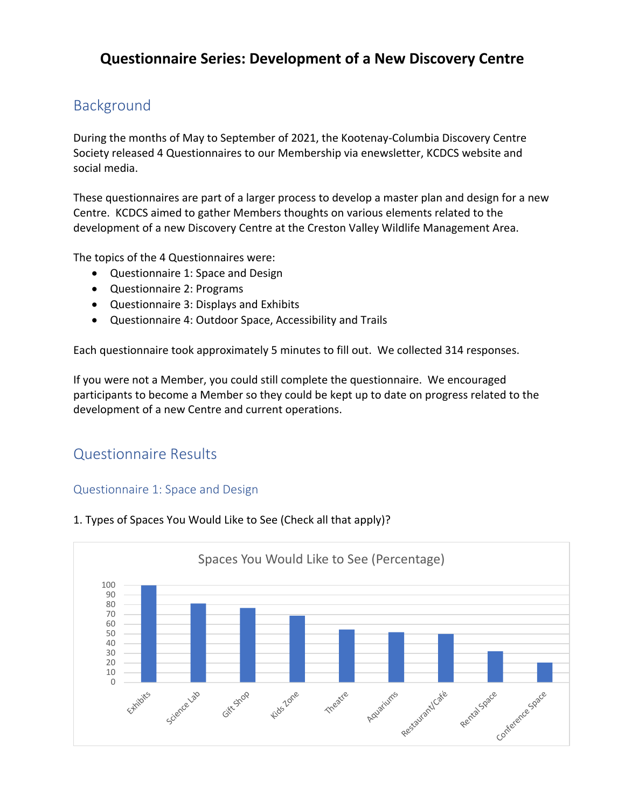# **Questionnaire Series: Development of a New Discovery Centre**

# Background

During the months of May to September of 2021, the Kootenay-Columbia Discovery Centre Society released 4 Questionnaires to our Membership via enewsletter, KCDCS website and social media.

These questionnaires are part of a larger process to develop a master plan and design for a new Centre. KCDCS aimed to gather Members thoughts on various elements related to the development of a new Discovery Centre at the Creston Valley Wildlife Management Area.

The topics of the 4 Questionnaires were:

- Questionnaire 1: Space and Design
- Questionnaire 2: Programs
- Questionnaire 3: Displays and Exhibits
- Questionnaire 4: Outdoor Space, Accessibility and Trails

Each questionnaire took approximately 5 minutes to fill out. We collected 314 responses.

If you were not a Member, you could still complete the questionnaire. We encouraged participants to become a Member so they could be kept up to date on progress related to the development of a new Centre and current operations.

## Questionnaire Results

#### Questionnaire 1: Space and Design



1. Types of Spaces You Would Like to See (Check all that apply)?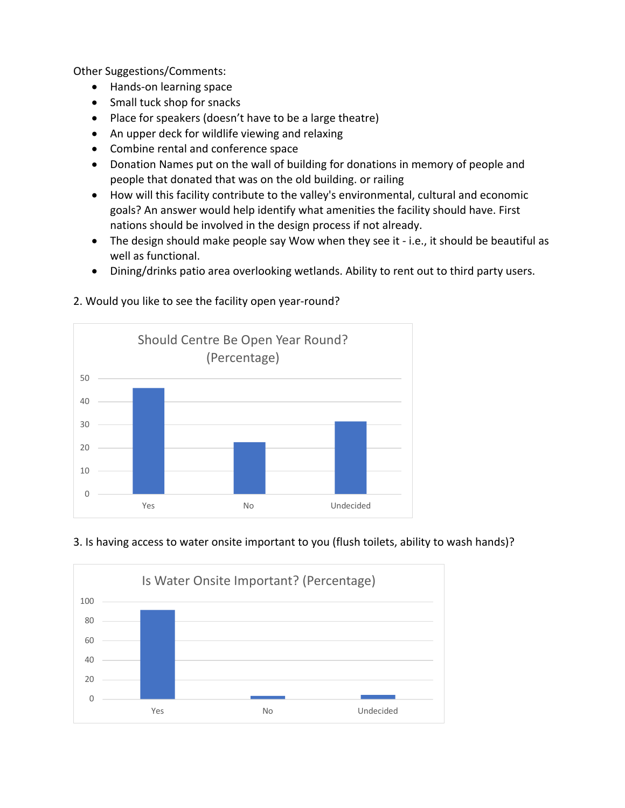Other Suggestions/Comments:

- Hands-on learning space
- Small tuck shop for snacks
- Place for speakers (doesn't have to be a large theatre)
- An upper deck for wildlife viewing and relaxing
- Combine rental and conference space
- Donation Names put on the wall of building for donations in memory of people and people that donated that was on the old building. or railing
- How will this facility contribute to the valley's environmental, cultural and economic goals? An answer would help identify what amenities the facility should have. First nations should be involved in the design process if not already.
- The design should make people say Wow when they see it i.e., it should be beautiful as well as functional.
- Dining/drinks patio area overlooking wetlands. Ability to rent out to third party users.

# 0 10 20 30 40 50 Yes No No Undecided Should Centre Be Open Year Round? (Percentage)

#### 2. Would you like to see the facility open year-round?

## 3. Is having access to water onsite important to you (flush toilets, ability to wash hands)?

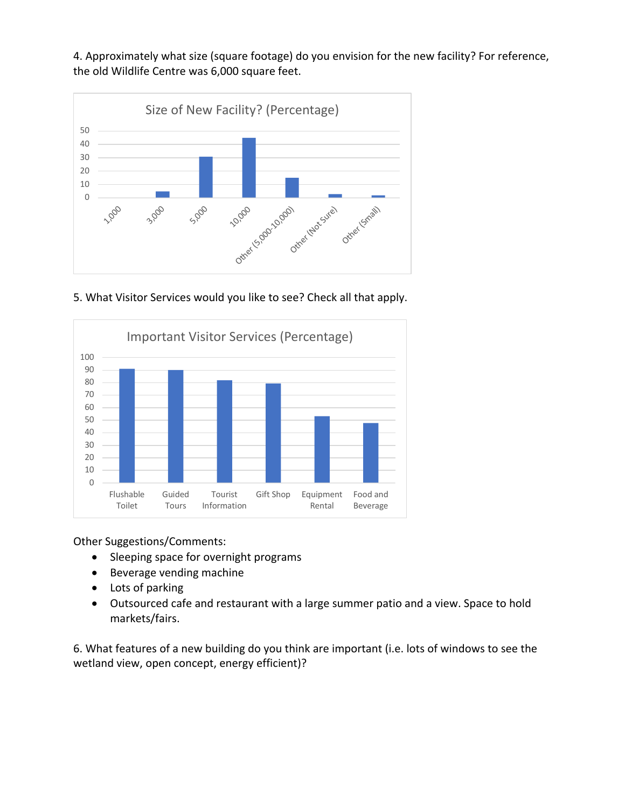4. Approximately what size (square footage) do you envision for the new facility? For reference, the old Wildlife Centre was 6,000 square feet.



5. What Visitor Services would you like to see? Check all that apply.



Other Suggestions/Comments:

- Sleeping space for overnight programs
- Beverage vending machine
- Lots of parking
- Outsourced cafe and restaurant with a large summer patio and a view. Space to hold markets/fairs.

6. What features of a new building do you think are important (i.e. lots of windows to see the wetland view, open concept, energy efficient)?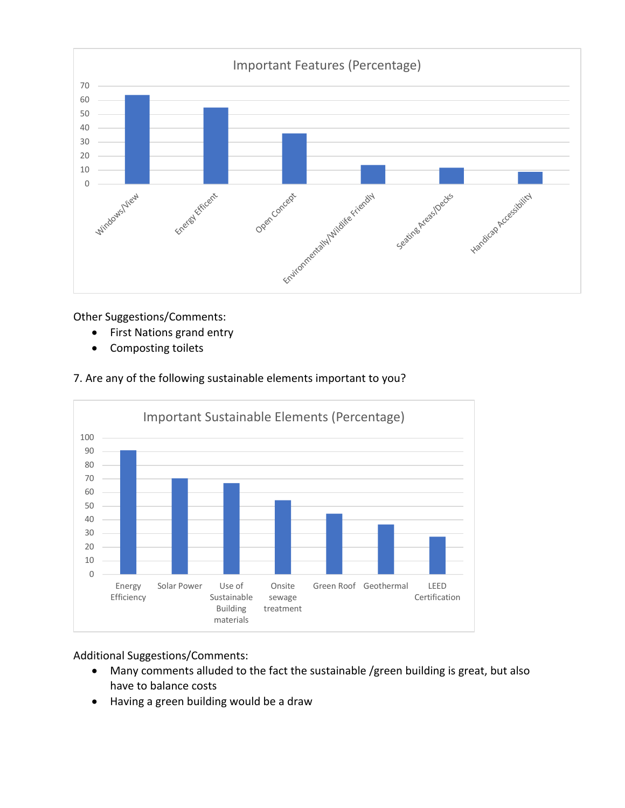

Other Suggestions/Comments:

- First Nations grand entry
- Composting toilets

#### 7. Are any of the following sustainable elements important to you?



Additional Suggestions/Comments:

- Many comments alluded to the fact the sustainable /green building is great, but also have to balance costs
- Having a green building would be a draw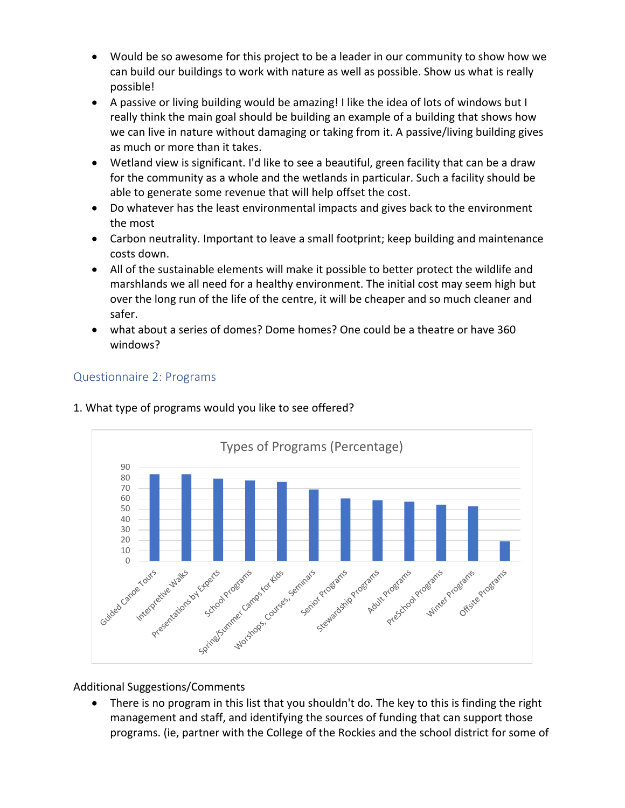- Would be so awesome for this project to be a leader in our community to show how we can build our buildings to work with nature as well as possible. Show us what is really possible!
- A passive or living building would be amazing! I like the idea of lots of windows but I really think the main goal should be building an example of a building that shows how we can live in nature without damaging or taking from it. A passive/living building gives as much or more than it takes.
- Wetland view is significant. I'd like to see a beautiful, green facility that can be a draw for the community as a whole and the wetlands in particular. Such a facility should be able to generate some revenue that will help offset the cost.
- Do whatever has the least environmental impacts and gives back to the environment the most
- Carbon neutrality. Important to leave a small footprint; keep building and maintenance costs down.
- All of the sustainable elements will make it possible to better protect the wildlife and marshlands we all need for a healthy environment. The initial cost may seem high but over the long run of the life of the centre, it will be cheaper and so much cleaner and safer.
- what about a series of domes? Dome homes? One could be a theatre or have 360 windows?

#### Questionnaire 2: Programs



#### 1. What type of programs would you like to see offered?

Additional Suggestions/Comments

• There is no program in this list that you shouldn't do. The key to this is finding the right management and staff, and identifying the sources of funding that can support those programs. (ie, partner with the College of the Rockies and the school district for some of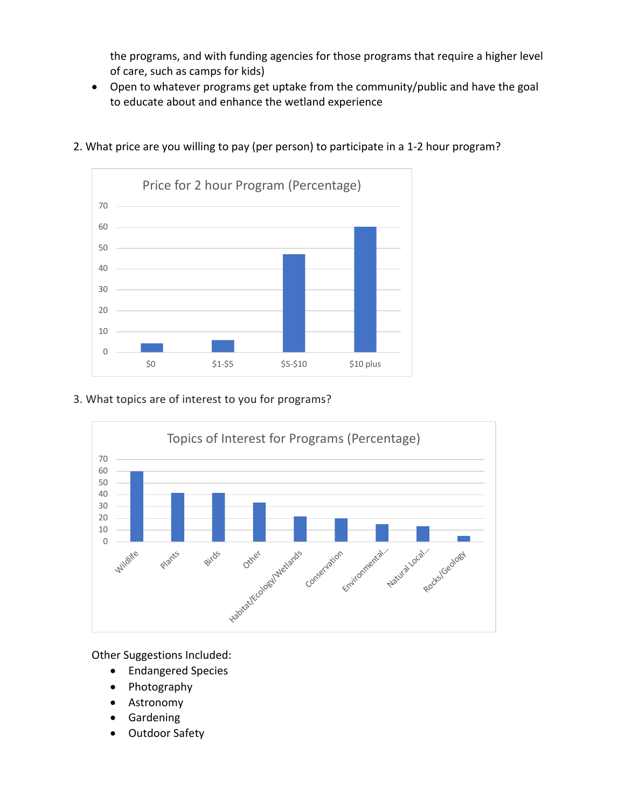the programs, and with funding agencies for those programs that require a higher level of care, such as camps for kids)

• Open to whatever programs get uptake from the community/public and have the goal to educate about and enhance the wetland experience



2. What price are you willing to pay (per person) to participate in a 1-2 hour program?

#### 3. What topics are of interest to you for programs?



Other Suggestions Included:

- Endangered Species
- Photography
- Astronomy
- Gardening
- Outdoor Safety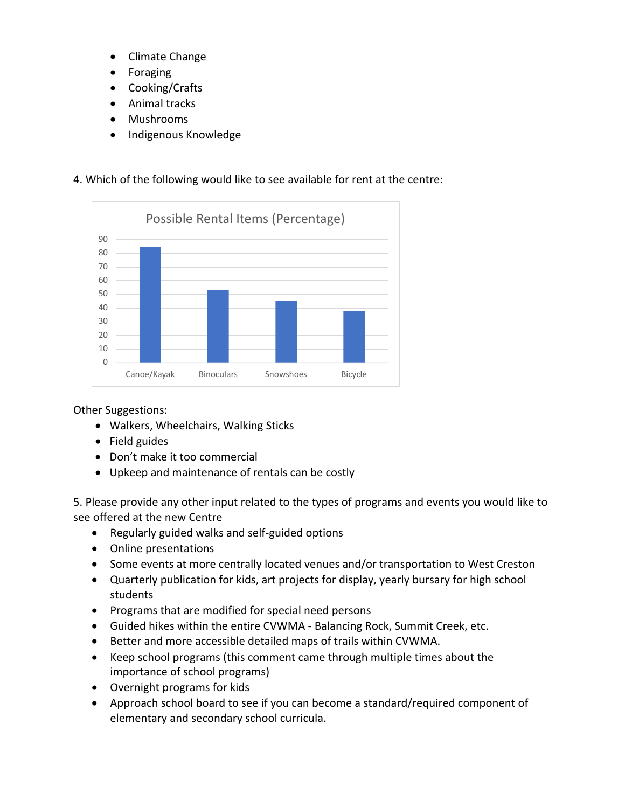- Climate Change
- **Foraging**
- Cooking/Crafts
- Animal tracks
- Mushrooms
- Indigenous Knowledge

#### 4. Which of the following would like to see available for rent at the centre:



Other Suggestions:

- Walkers, Wheelchairs, Walking Sticks
- Field guides
- Don't make it too commercial
- Upkeep and maintenance of rentals can be costly

5. Please provide any other input related to the types of programs and events you would like to see offered at the new Centre

- Regularly guided walks and self-guided options
- Online presentations
- Some events at more centrally located venues and/or transportation to West Creston
- Quarterly publication for kids, art projects for display, yearly bursary for high school students
- Programs that are modified for special need persons
- Guided hikes within the entire CVWMA Balancing Rock, Summit Creek, etc.
- Better and more accessible detailed maps of trails within CVWMA.
- Keep school programs (this comment came through multiple times about the importance of school programs)
- Overnight programs for kids
- Approach school board to see if you can become a standard/required component of elementary and secondary school curricula.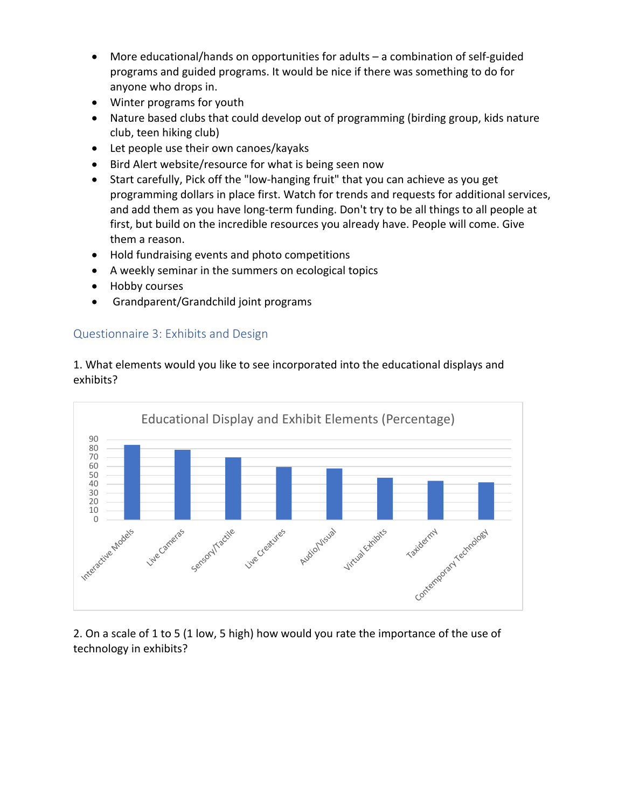- More educational/hands on opportunities for adults a combination of self-guided programs and guided programs. It would be nice if there was something to do for anyone who drops in.
- Winter programs for youth
- Nature based clubs that could develop out of programming (birding group, kids nature club, teen hiking club)
- Let people use their own canoes/kayaks
- Bird Alert website/resource for what is being seen now
- Start carefully, Pick off the "low-hanging fruit" that you can achieve as you get programming dollars in place first. Watch for trends and requests for additional services, and add them as you have long-term funding. Don't try to be all things to all people at first, but build on the incredible resources you already have. People will come. Give them a reason.
- Hold fundraising events and photo competitions
- A weekly seminar in the summers on ecological topics
- Hobby courses
- Grandparent/Grandchild joint programs

#### Questionnaire 3: Exhibits and Design

1. What elements would you like to see incorporated into the educational displays and exhibits?



2. On a scale of 1 to 5 (1 low, 5 high) how would you rate the importance of the use of technology in exhibits?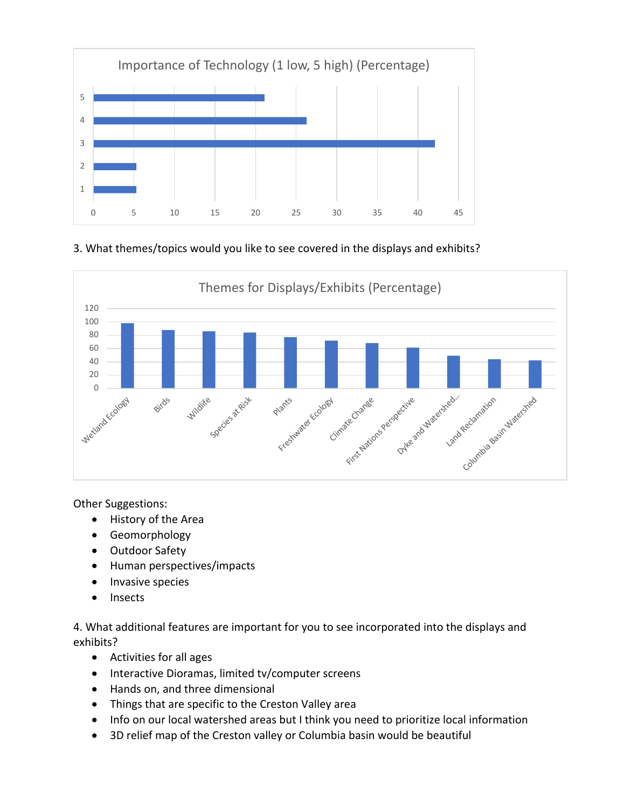

#### 3. What themes/topics would you like to see covered in the displays and exhibits?



Other Suggestions:

- History of the Area
- Geomorphology
- Outdoor Safety
- Human perspectives/impacts
- Invasive species
- Insects

4. What additional features are important for you to see incorporated into the displays and exhibits?

- Activities for all ages
- Interactive Dioramas, limited tv/computer screens
- Hands on, and three dimensional
- Things that are specific to the Creston Valley area
- Info on our local watershed areas but I think you need to prioritize local information
- 3D relief map of the Creston valley or Columbia basin would be beautiful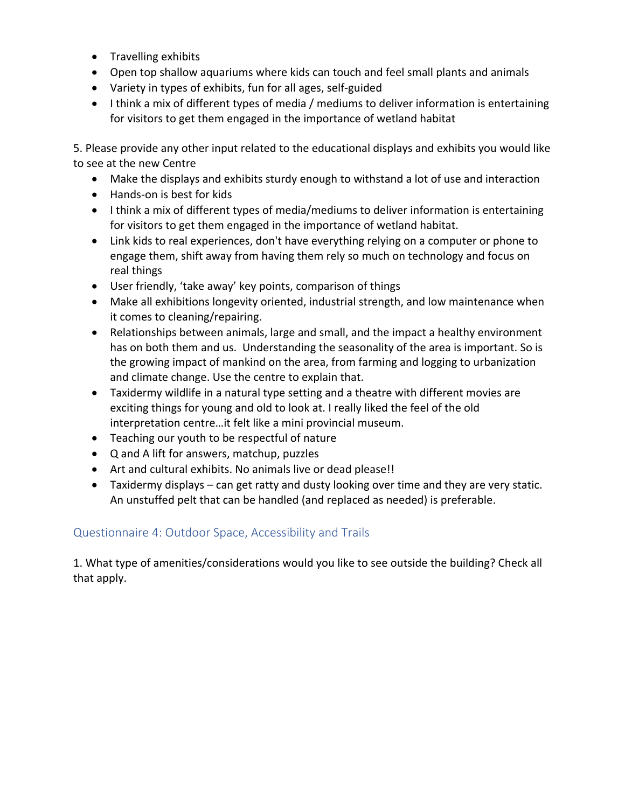- Travelling exhibits
- Open top shallow aquariums where kids can touch and feel small plants and animals
- Variety in types of exhibits, fun for all ages, self-guided
- I think a mix of different types of media / mediums to deliver information is entertaining for visitors to get them engaged in the importance of wetland habitat

5. Please provide any other input related to the educational displays and exhibits you would like to see at the new Centre

- Make the displays and exhibits sturdy enough to withstand a lot of use and interaction
- Hands-on is best for kids
- I think a mix of different types of media/mediums to deliver information is entertaining for visitors to get them engaged in the importance of wetland habitat.
- Link kids to real experiences, don't have everything relying on a computer or phone to engage them, shift away from having them rely so much on technology and focus on real things
- User friendly, 'take away' key points, comparison of things
- Make all exhibitions longevity oriented, industrial strength, and low maintenance when it comes to cleaning/repairing.
- Relationships between animals, large and small, and the impact a healthy environment has on both them and us. Understanding the seasonality of the area is important. So is the growing impact of mankind on the area, from farming and logging to urbanization and climate change. Use the centre to explain that.
- Taxidermy wildlife in a natural type setting and a theatre with different movies are exciting things for young and old to look at. I really liked the feel of the old interpretation centre…it felt like a mini provincial museum.
- Teaching our youth to be respectful of nature
- Q and A lift for answers, matchup, puzzles
- Art and cultural exhibits. No animals live or dead please!!
- Taxidermy displays can get ratty and dusty looking over time and they are very static. An unstuffed pelt that can be handled (and replaced as needed) is preferable.

### Questionnaire 4: Outdoor Space, Accessibility and Trails

1. What type of amenities/considerations would you like to see outside the building? Check all that apply.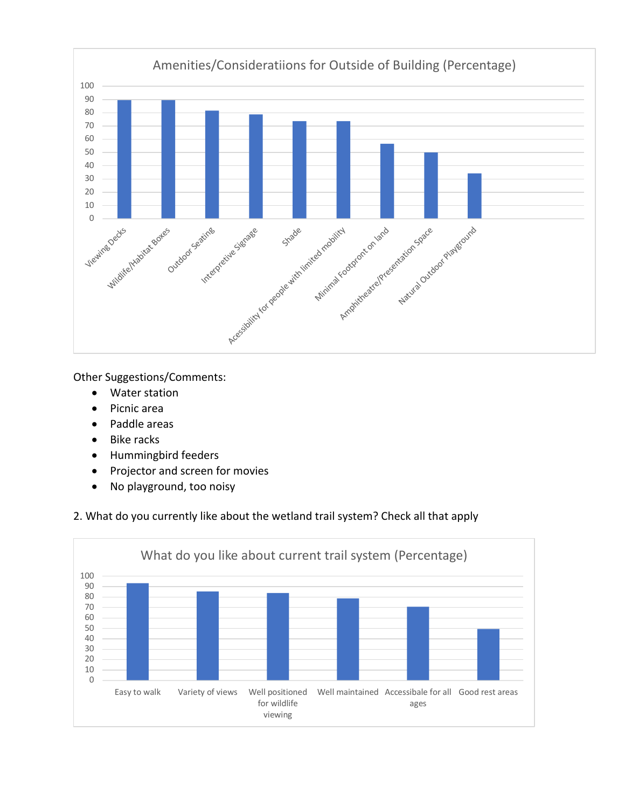

Other Suggestions/Comments:

- Water station
- Picnic area
- Paddle areas
- Bike racks
- Hummingbird feeders
- Projector and screen for movies
- No playground, too noisy

#### 2. What do you currently like about the wetland trail system? Check all that apply

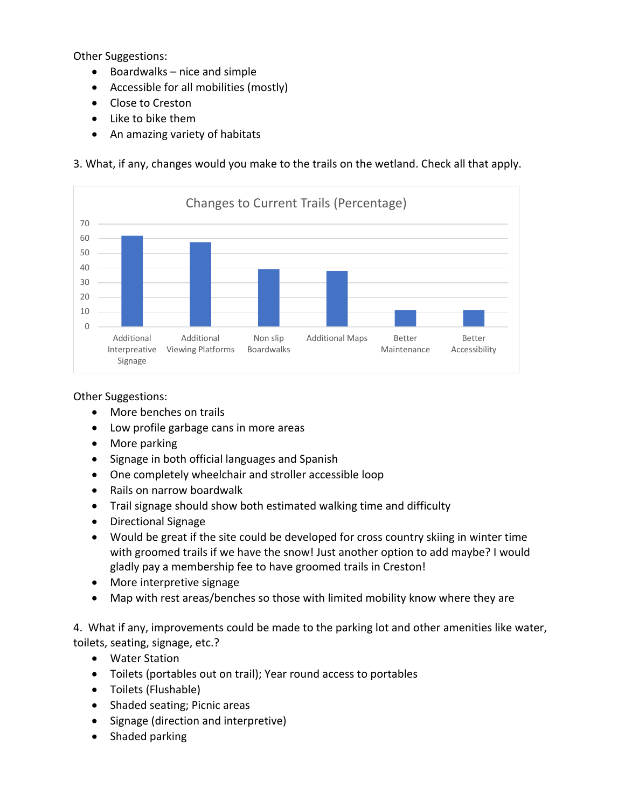Other Suggestions:

- Boardwalks nice and simple
- Accessible for all mobilities (mostly)
- Close to Creston
- Like to bike them
- An amazing variety of habitats

3. What, if any, changes would you make to the trails on the wetland. Check all that apply.



Other Suggestions:

- More benches on trails
- Low profile garbage cans in more areas
- More parking
- Signage in both official languages and Spanish
- One completely wheelchair and stroller accessible loop
- Rails on narrow boardwalk
- Trail signage should show both estimated walking time and difficulty
- Directional Signage
- Would be great if the site could be developed for cross country skiing in winter time with groomed trails if we have the snow! Just another option to add maybe? I would gladly pay a membership fee to have groomed trails in Creston!
- More interpretive signage
- Map with rest areas/benches so those with limited mobility know where they are

4. What if any, improvements could be made to the parking lot and other amenities like water, toilets, seating, signage, etc.?

- Water Station
- Toilets (portables out on trail); Year round access to portables
- Toilets (Flushable)
- Shaded seating; Picnic areas
- Signage (direction and interpretive)
- Shaded parking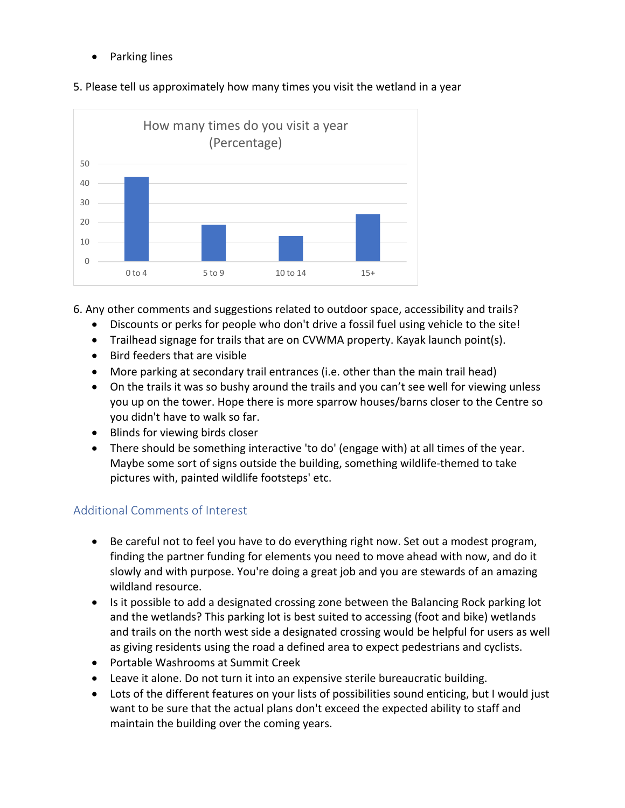• Parking lines



5. Please tell us approximately how many times you visit the wetland in a year

6. Any other comments and suggestions related to outdoor space, accessibility and trails?

- Discounts or perks for people who don't drive a fossil fuel using vehicle to the site!
- Trailhead signage for trails that are on CVWMA property. Kayak launch point(s).
- Bird feeders that are visible
- More parking at secondary trail entrances (i.e. other than the main trail head)
- On the trails it was so bushy around the trails and you can't see well for viewing unless you up on the tower. Hope there is more sparrow houses/barns closer to the Centre so you didn't have to walk so far.
- Blinds for viewing birds closer
- There should be something interactive 'to do' (engage with) at all times of the year. Maybe some sort of signs outside the building, something wildlife-themed to take pictures with, painted wildlife footsteps' etc.

## Additional Comments of Interest

- Be careful not to feel you have to do everything right now. Set out a modest program, finding the partner funding for elements you need to move ahead with now, and do it slowly and with purpose. You're doing a great job and you are stewards of an amazing wildland resource.
- Is it possible to add a designated crossing zone between the Balancing Rock parking lot and the wetlands? This parking lot is best suited to accessing (foot and bike) wetlands and trails on the north west side a designated crossing would be helpful for users as well as giving residents using the road a defined area to expect pedestrians and cyclists.
- Portable Washrooms at Summit Creek
- Leave it alone. Do not turn it into an expensive sterile bureaucratic building.
- Lots of the different features on your lists of possibilities sound enticing, but I would just want to be sure that the actual plans don't exceed the expected ability to staff and maintain the building over the coming years.